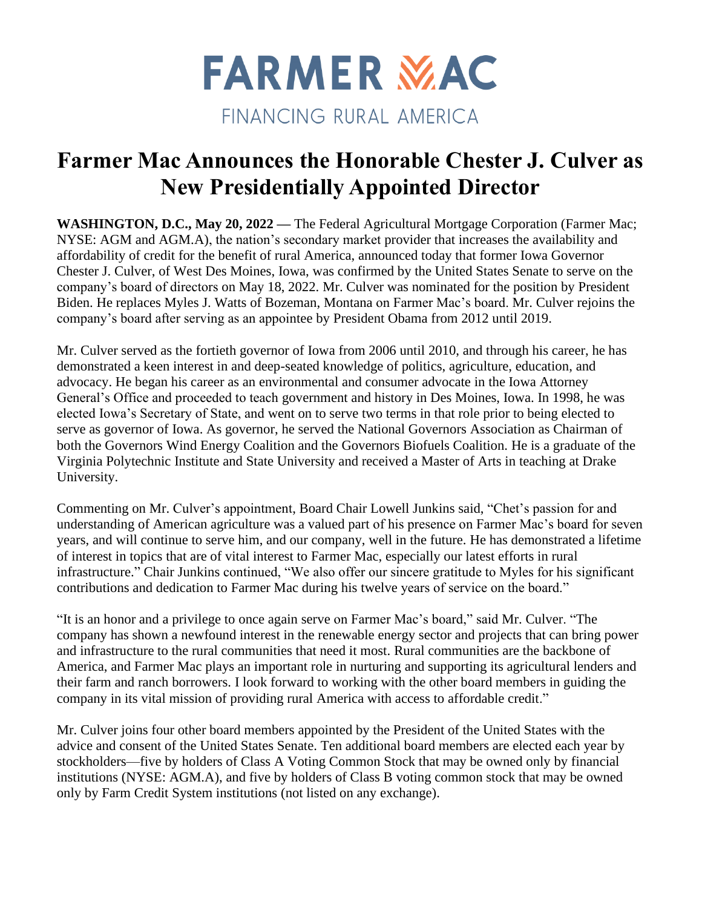

## **Farmer Mac Announces the Honorable Chester J. Culver as New Presidentially Appointed Director**

**WASHINGTON, D.C., May 20, 2022 —** The Federal Agricultural Mortgage Corporation (Farmer Mac; NYSE: AGM and AGM.A), the nation's secondary market provider that increases the availability and affordability of credit for the benefit of rural America, announced today that former Iowa Governor Chester J. Culver, of West Des Moines, Iowa, was confirmed by the United States Senate to serve on the company's board of directors on May 18, 2022. Mr. Culver was nominated for the position by President Biden. He replaces Myles J. Watts of Bozeman, Montana on Farmer Mac's board. Mr. Culver rejoins the company's board after serving as an appointee by President Obama from 2012 until 2019.

Mr. Culver served as the fortieth governor of Iowa from 2006 until 2010, and through his career, he has demonstrated a keen interest in and deep-seated knowledge of politics, agriculture, education, and advocacy. He began his career as an environmental and consumer advocate in the Iowa Attorney General's Office and proceeded to teach government and history in Des Moines, Iowa. In 1998, he was elected Iowa's Secretary of State, and went on to serve two terms in that role prior to being elected to serve as governor of Iowa. As governor, he served the National Governors Association as Chairman of both the Governors Wind Energy Coalition and the Governors Biofuels Coalition. He is a graduate of the Virginia Polytechnic Institute and State University and received a Master of Arts in teaching at Drake University.

Commenting on Mr. Culver's appointment, Board Chair Lowell Junkins said, "Chet's passion for and understanding of American agriculture was a valued part of his presence on Farmer Mac's board for seven years, and will continue to serve him, and our company, well in the future. He has demonstrated a lifetime of interest in topics that are of vital interest to Farmer Mac, especially our latest efforts in rural infrastructure." Chair Junkins continued, "We also offer our sincere gratitude to Myles for his significant contributions and dedication to Farmer Mac during his twelve years of service on the board."

"It is an honor and a privilege to once again serve on Farmer Mac's board," said Mr. Culver. "The company has shown a newfound interest in the renewable energy sector and projects that can bring power and infrastructure to the rural communities that need it most. Rural communities are the backbone of America, and Farmer Mac plays an important role in nurturing and supporting its agricultural lenders and their farm and ranch borrowers. I look forward to working with the other board members in guiding the company in its vital mission of providing rural America with access to affordable credit."

Mr. Culver joins four other board members appointed by the President of the United States with the advice and consent of the United States Senate. Ten additional board members are elected each year by stockholders—five by holders of Class A Voting Common Stock that may be owned only by financial institutions (NYSE: AGM.A), and five by holders of Class B voting common stock that may be owned only by Farm Credit System institutions (not listed on any exchange).